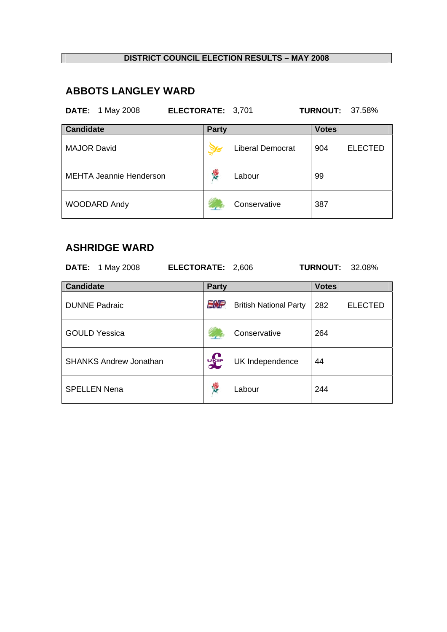## **ABBOTS LANGLEY WARD**

**DATE:** 1 May 2008 **ELECTORATE:** 3,701 **TURNOUT:** 37.58% **Candidate Party Party Party Party Party** MAJOR David **Liberal Democrat** 904 ELECTED MEHTA Jeannie Henderson **Labour** Labour 99 WOODARD Andy **Conservative** 387

#### **ASHRIDGE WARD**

| <b>DATE:</b> 1 May 2008       | ELECTORATE: 2,606 |                               | <b>TURNOUT:</b><br>32.08% |
|-------------------------------|-------------------|-------------------------------|---------------------------|
| <b>Candidate</b>              | <b>Party</b>      |                               | <b>Votes</b>              |
| <b>DUNNE Padraic</b>          | EMP               | <b>British National Party</b> | 282<br><b>ELECTED</b>     |
| <b>GOULD Yessica</b>          |                   | Conservative                  | 264                       |
| <b>SHANKS Andrew Jonathan</b> | <b>UKIP</b>       | UK Independence               | 44                        |
| <b>SPELLEN Nena</b>           | <b>RE</b>         | Labour                        | 244                       |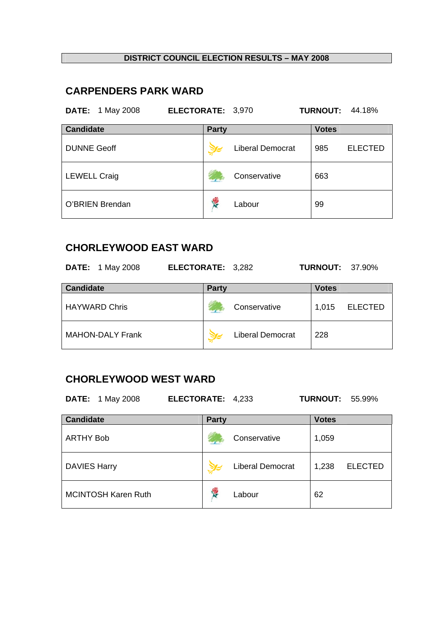# **CARPENDERS PARK WARD**

| <b>DATE:</b> 1 May 2008 | ELECTORATE: 3,970 |                         | <b>TURNOUT:</b> | 44.18%         |
|-------------------------|-------------------|-------------------------|-----------------|----------------|
| <b>Candidate</b>        | <b>Party</b>      |                         | <b>Votes</b>    |                |
| <b>DUNNE Geoff</b>      |                   | <b>Liberal Democrat</b> | 985             | <b>ELECTED</b> |
| <b>LEWELL Craig</b>     |                   | Conservative            | 663             |                |
| O'BRIEN Brendan         | Y.                | Labour                  | 99              |                |

## **CHORLEYWOOD EAST WARD**

|                  | <b>DATE:</b> 1 May 2008 | ELECTORATE: 3,282 |              |                         |              | <b>TURNOUT: 37.90%</b> |
|------------------|-------------------------|-------------------|--------------|-------------------------|--------------|------------------------|
| <b>Candidate</b> |                         |                   | <b>Party</b> |                         | <b>Votes</b> |                        |
|                  | <b>HAYWARD Chris</b>    |                   |              | Conservative            | 1,015        | <b>ELECTED</b>         |
|                  | <b>MAHON-DALY Frank</b> |                   |              | <b>Liberal Democrat</b> | 228          |                        |

### **CHORLEYWOOD WEST WARD**

**DATE:** 1 May 2008 **ELECTORATE:** 4,233 **TURNOUT:** 55.99%

| <b>Candidate</b>           | <b>Party</b> |                         | <b>Votes</b> |                |
|----------------------------|--------------|-------------------------|--------------|----------------|
| <b>ARTHY Bob</b>           |              | Conservative            | 1,059        |                |
| <b>DAVIES Harry</b>        |              | <b>Liberal Democrat</b> | 1,238        | <b>ELECTED</b> |
| <b>MCINTOSH Karen Ruth</b> | <b>RE</b>    | Labour                  | 62           |                |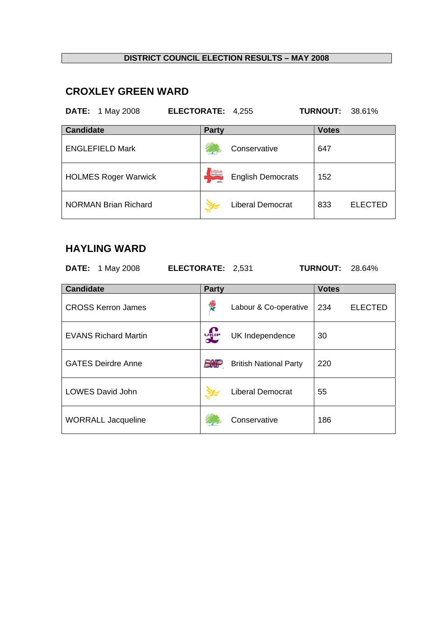# **CROXLEY GREEN WARD**

| <b>DATE:</b> 1 May 2008     | ELECTORATE: 4,255 |                          | <b>TURNOUT: 38.61%</b> |
|-----------------------------|-------------------|--------------------------|------------------------|
| <b>Candidate</b>            | <b>Party</b>      |                          | <b>Votes</b>           |
| <b>ENGLEFIELD Mark</b>      |                   | Conservative             | 647                    |
| <b>HOLMES Roger Warwick</b> | <b>Exclude</b>    | <b>English Democrats</b> | 152                    |
| <b>NORMAN Brian Richard</b> |                   | <b>Liberal Democrat</b>  | <b>ELECTED</b><br>833  |

## **HAYLING WARD**

| <b>DATE:</b> 1 May 2008     | <b>ELECTORATE: 2,531</b> |                               | <b>TURNOUT:</b> | 28.64%         |
|-----------------------------|--------------------------|-------------------------------|-----------------|----------------|
| <b>Candidate</b>            | <b>Party</b>             |                               | <b>Votes</b>    |                |
| <b>CROSS Kerron James</b>   | 豪                        | Labour & Co-operative         | 234             | <b>ELECTED</b> |
| <b>EVANS Richard Martin</b> | <b>DELP</b>              | UK Independence               | 30              |                |
| <b>GATES Deirdre Anne</b>   | ENP                      | <b>British National Party</b> | 220             |                |
| <b>LOWES David John</b>     |                          | <b>Liberal Democrat</b>       | 55              |                |
| <b>WORRALL Jacqueline</b>   |                          | Conservative                  | 186             |                |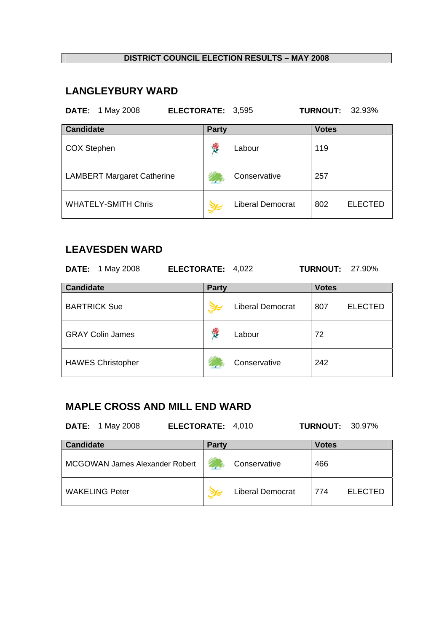# **LANGLEYBURY WARD**

| <b>DATE:</b><br>1 May 2008<br>ELECTORATE: 3,595 |              |                         | <b>TURNOUT:</b> | 32.93%         |
|-------------------------------------------------|--------------|-------------------------|-----------------|----------------|
| <b>Candidate</b>                                | <b>Party</b> |                         | <b>Votes</b>    |                |
| <b>COX Stephen</b>                              |              | Labour                  | 119             |                |
| <b>LAMBERT Margaret Catherine</b>               |              | Conservative            | 257             |                |
| <b>WHATELY-SMITH Chris</b>                      |              | <b>Liberal Democrat</b> | 802             | <b>ELECTED</b> |

## **LEAVESDEN WARD**

| <b>DATE:</b> 1 May 2008  | ELECTORATE: 4,022 |                  | <b>TURNOUT: 27.90%</b> |                |
|--------------------------|-------------------|------------------|------------------------|----------------|
| <b>Candidate</b>         | <b>Party</b>      |                  | <b>Votes</b>           |                |
| <b>BARTRICK Sue</b>      |                   | Liberal Democrat | 807                    | <b>ELECTED</b> |
| <b>GRAY Colin James</b>  | Ķ                 | Labour           | 72                     |                |
| <b>HAWES Christopher</b> |                   | Conservative     | 242                    |                |

# **MAPLE CROSS AND MILL END WARD**

| <b>DATE:</b> 1 May 2008 | <b>ELECTORATE: 4,010</b> | <b>TURNOUT: 30.97%</b> |
|-------------------------|--------------------------|------------------------|
| <b>Candidate</b>        | <b>Party</b>             | Votes                  |

| Candidate                      | <b>Party</b> |                         | <b>Votes</b> |                |
|--------------------------------|--------------|-------------------------|--------------|----------------|
| MCGOWAN James Alexander Robert |              | Conservative            | 466          |                |
| <b>WAKELING Peter</b>          |              | <b>Liberal Democrat</b> | 774          | <b>ELECTED</b> |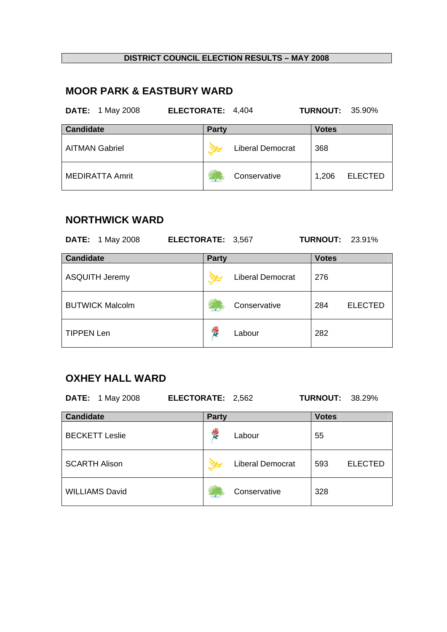# **MOOR PARK & EASTBURY WARD**

| <b>DATE:</b> 1 May 2008 | ELECTORATE: 4,404 |                         | <b>TURNOUT: 35.90%</b> |                |
|-------------------------|-------------------|-------------------------|------------------------|----------------|
| <b>Candidate</b>        | <b>Party</b>      |                         | <b>Votes</b>           |                |
| <b>AITMAN Gabriel</b>   |                   | <b>Liberal Democrat</b> | 368                    |                |
| <b>MEDIRATTA Amrit</b>  |                   | Conservative            | 1,206                  | <b>ELECTED</b> |

## **NORTHWICK WARD**

| <b>DATE:</b> 1 May 2008 | ELECTORATE: 3,567 |                         | <b>TURNOUT: 23.91%</b> |                |
|-------------------------|-------------------|-------------------------|------------------------|----------------|
| <b>Candidate</b>        | <b>Party</b>      |                         | <b>Votes</b>           |                |
| <b>ASQUITH Jeremy</b>   |                   | <b>Liberal Democrat</b> | 276                    |                |
| <b>BUTWICK Malcolm</b>  |                   | Conservative            | 284                    | <b>ELECTED</b> |
| <b>TIPPEN Len</b>       | <b>RES</b>        | Labour                  | 282                    |                |

## **OXHEY HALL WARD**

| <b>DATE:</b> 1 May 2008 | ELECTORATE: 2,562 |                         | <b>TURNOUT: 38.29%</b> |                |
|-------------------------|-------------------|-------------------------|------------------------|----------------|
| <b>Candidate</b>        | <b>Party</b>      |                         | <b>Votes</b>           |                |
| <b>BECKETT Leslie</b>   | <b>K</b>          | Labour                  | 55                     |                |
| <b>SCARTH Alison</b>    |                   | <b>Liberal Democrat</b> | 593                    | <b>ELECTED</b> |
| <b>WILLIAMS David</b>   |                   | Conservative            | 328                    |                |